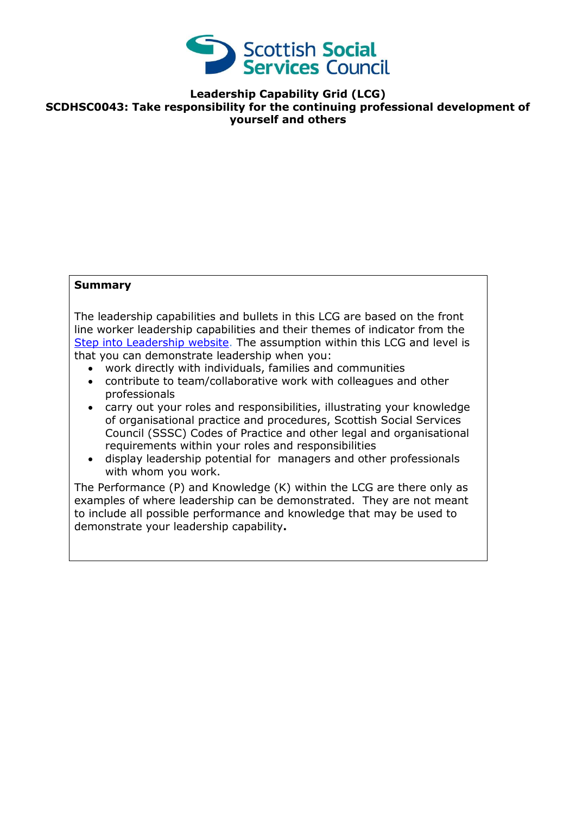

**Leadership Capability Grid (LCG) SCDHSC0043: Take responsibility for the continuing professional development of yourself and others** 

## **Summary**

The leadership capabilities and bullets in this LCG are based on the front line worker leadership capabilities and their themes of indicator from the [Step into Leadership website.](http://www.stepintoleadership.info/) The assumption within this LCG and level is that you can demonstrate leadership when you:

- work directly with individuals, families and communities
- contribute to team/collaborative work with colleagues and other professionals
- carry out your roles and responsibilities, illustrating your knowledge of organisational practice and procedures, Scottish Social Services Council (SSSC) Codes of Practice and other legal and organisational requirements within your roles and responsibilities
- display leadership potential for managers and other professionals with whom you work.

The Performance (P) and Knowledge (K) within the LCG are there only as examples of where leadership can be demonstrated. They are not meant to include all possible performance and knowledge that may be used to demonstrate your leadership capability**.**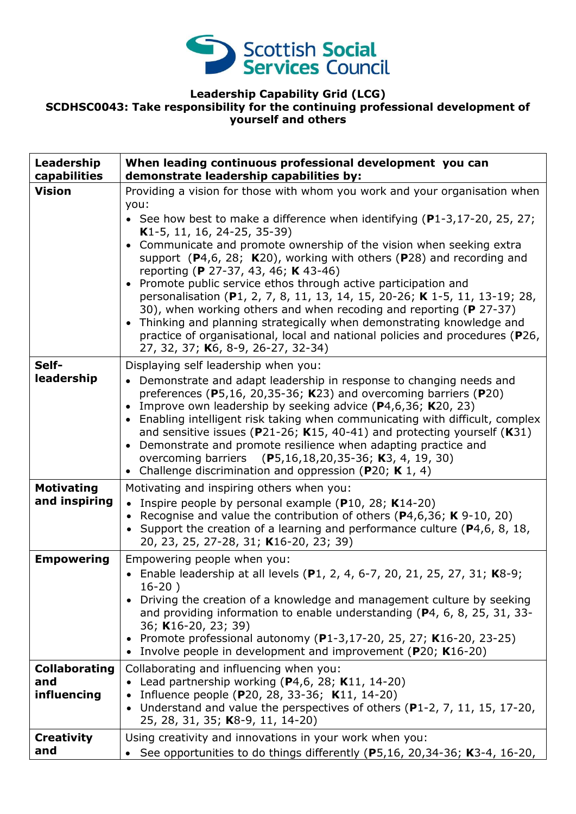

## **Leadership Capability Grid (LCG) SCDHSC0043: Take responsibility for the continuing professional development of yourself and others**

| Leadership<br>capabilities                 | When leading continuous professional development you can<br>demonstrate leadership capabilities by:                                                                                                                                                                                                                                                                                                                                                                                                                                                                                                                                                                                                                                                                                                                              |
|--------------------------------------------|----------------------------------------------------------------------------------------------------------------------------------------------------------------------------------------------------------------------------------------------------------------------------------------------------------------------------------------------------------------------------------------------------------------------------------------------------------------------------------------------------------------------------------------------------------------------------------------------------------------------------------------------------------------------------------------------------------------------------------------------------------------------------------------------------------------------------------|
| <b>Vision</b>                              | Providing a vision for those with whom you work and your organisation when<br>you:<br>• See how best to make a difference when identifying $(P1-3, 17-20, 25, 27)$<br>K1-5, 11, 16, 24-25, 35-39)<br>• Communicate and promote ownership of the vision when seeking extra<br>support $(P4,6, 28; K20)$ , working with others $(P28)$ and recording and<br>reporting (P 27-37, 43, 46; K 43-46)<br>• Promote public service ethos through active participation and<br>personalisation (P1, 2, 7, 8, 11, 13, 14, 15, 20-26; K 1-5, 11, 13-19; 28,<br>30), when working others and when recoding and reporting (P 27-37)<br>Thinking and planning strategically when demonstrating knowledge and<br>$\bullet$<br>practice of organisational, local and national policies and procedures (P26,<br>27, 32, 37; K6, 8-9, 26-27, 32-34) |
| Self-<br>leadership                        | Displaying self leadership when you:<br>• Demonstrate and adapt leadership in response to changing needs and<br>preferences (P5,16, 20,35-36; K23) and overcoming barriers (P20)<br>Improve own leadership by seeking advice $(P4, 6, 36; K20, 23)$<br>$\bullet$<br>• Enabling intelligent risk taking when communicating with difficult, complex<br>and sensitive issues (P21-26; K15, 40-41) and protecting yourself (K31)<br>• Demonstrate and promote resilience when adapting practice and<br>overcoming barriers (P5,16,18,20,35-36; K3, 4, 19, 30)<br>• Challenge discrimination and oppression (P20; K 1, 4)                                                                                                                                                                                                             |
| <b>Motivating</b><br>and inspiring         | Motivating and inspiring others when you:<br>Inspire people by personal example (P10, 28; K14-20)<br>$\bullet$<br>• Recognise and value the contribution of others ( $P$ 4,6,36; K 9-10, 20)<br>• Support the creation of a learning and performance culture ( $P4, 6, 8, 18, 18$ )<br>20, 23, 25, 27-28, 31; K16-20, 23; 39)                                                                                                                                                                                                                                                                                                                                                                                                                                                                                                    |
| <b>Empowering</b>                          | Empowering people when you:<br>• Enable leadership at all levels (P1, 2, 4, 6-7, 20, 21, 25, 27, 31; K8-9;<br>$16-20)$<br>Driving the creation of a knowledge and management culture by seeking<br>and providing information to enable understanding (P4, 6, 8, 25, 31, 33-<br>36; K16-20, 23; 39)<br>• Promote professional autonomy (P1-3,17-20, 25, 27; K16-20, 23-25)<br>• Involve people in development and improvement (P20; K16-20)                                                                                                                                                                                                                                                                                                                                                                                       |
| <b>Collaborating</b><br>and<br>influencing | Collaborating and influencing when you:<br>Lead partnership working $(P4,6, 28; K11, 14-20)$<br>Influence people (P20, 28, 33-36; K11, 14-20)<br>$\bullet$<br>Understand and value the perspectives of others (P1-2, 7, 11, 15, 17-20,<br>$\bullet$<br>25, 28, 31, 35; K8-9, 11, 14-20)                                                                                                                                                                                                                                                                                                                                                                                                                                                                                                                                          |
| <b>Creativity</b><br>and                   | Using creativity and innovations in your work when you:<br>See opportunities to do things differently (P5,16, 20,34-36; K3-4, 16-20,                                                                                                                                                                                                                                                                                                                                                                                                                                                                                                                                                                                                                                                                                             |